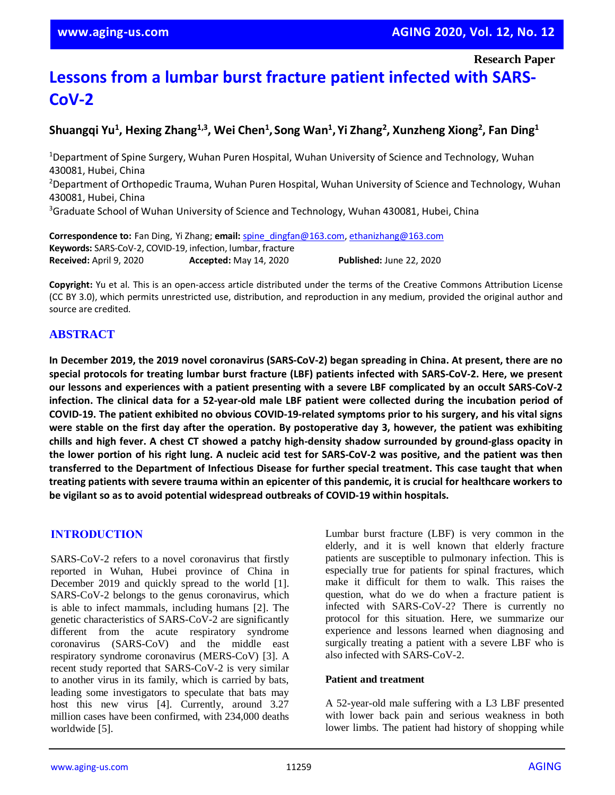# **Lessons from a lumbar burst fracture patient infected with SARS-CoV-2**

## **Shuangqi Yu<sup>1</sup> , Hexing Zhang1,3 , Wei Chen<sup>1</sup> , Song Wan<sup>1</sup> , Yi Zhang<sup>2</sup> , Xunzheng Xiong<sup>2</sup> , Fan Ding<sup>1</sup>**

<sup>1</sup>Department of Spine Surgery, Wuhan Puren Hospital, Wuhan University of Science and Technology, Wuhan 430081, Hubei, China <sup>2</sup>Department of Orthopedic Trauma, Wuhan Puren Hospital, Wuhan University of Science and Technology, Wuhan 430081, Hubei, China <sup>3</sup>Graduate School of Wuhan University of Science and Technology, Wuhan 430081, Hubei, China

**Correspondence to:** Fan Ding, Yi Zhang; **email:** [spine\\_dingfan@163.com,](mailto:spine_dingfan@163.com) [ethanizhang@163.com](mailto:ethanizhang@163.com) **Keywords:** SARS-CoV-2, COVID-19, infection, lumbar, fracture **Received:** April 9, 2020 **Accepted:** May 14, 2020 **Published:** June 22, 2020

**Copyright:** Yu et al. This is an open-access article distributed under the terms of the Creative Commons Attribution License (CC BY 3.0), which permits unrestricted use, distribution, and reproduction in any medium, provided the original author and source are credited.

## **ABSTRACT**

In December 2019, the 2019 novel coronavirus (SARS-CoV-2) began spreading in China. At present, there are no **special protocols for treating lumbar burst fracture (LBF) patients infected with SARS-CoV-2. Here, we present** our lessons and experiences with a patient presenting with a severe LBF complicated by an occult SARS-CoV-2 infection. The clinical data for a 52-year-old male LBF patient were collected during the incubation period of **COVID-19. The patient exhibited no obvious COVID-19-related symptoms prior to his surgery, and his vital signs** were stable on the first day after the operation. By postoperative day 3, however, the patient was exhibiting chills and high fever. A chest CT showed a patchy high-density shadow surrounded by ground-glass opacity in the lower portion of his right lung. A nucleic acid test for SARS-CoV-2 was positive, and the patient was then **transferred to the Department of Infectious Disease for further special treatment. This case taught that when** treating patients with severe trauma within an epicenter of this pandemic, it is crucial for healthcare workers to **be vigilant so as to avoid potential widespread outbreaks of COVID-19 within hospitals.**

## **INTRODUCTION**

SARS-CoV-2 refers to a novel coronavirus that firstly reported in Wuhan, Hubei province of China in December 2019 and quickly spread to the world [1]. SARS-CoV-2 belongs to the genus coronavirus, which is able to infect mammals, including humans [2]. The genetic characteristics of SARS-CoV-2 are significantly different from the acute respiratory syndrome coronavirus (SARS-CoV) and the middle east respiratory syndrome coronavirus (MERS-CoV) [3]. A recent study reported that SARS-CoV-2 is very similar to another virus in its family, which is carried by bats, leading some investigators to speculate that bats may host this new virus [4]. Currently, around 3.27 million cases have been confirmed, with 234,000 deaths worldwide [5].

Lumbar burst fracture (LBF) is very common in the elderly, and it is well known that elderly fracture patients are susceptible to pulmonary infection. This is especially true for patients for spinal fractures, which make it difficult for them to walk. This raises the question, what do we do when a fracture patient is infected with SARS-CoV-2? There is currently no protocol for this situation. Here, we summarize our experience and lessons learned when diagnosing and surgically treating a patient with a severe LBF who is also infected with SARS-CoV-2.

#### **Patient and treatment**

A 52-year-old male suffering with a L3 LBF presented with lower back pain and serious weakness in both lower limbs. The patient had history of shopping while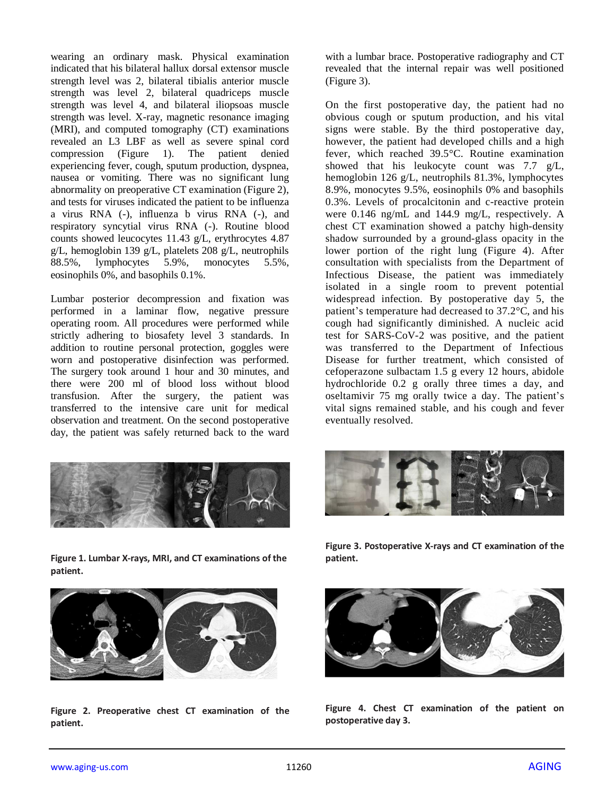wearing an ordinary mask. Physical examination indicated that his bilateral hallux dorsal extensor muscle strength level was 2, bilateral tibialis anterior muscle strength was level 2, bilateral quadriceps muscle strength was level 4, and bilateral iliopsoas muscle strength was level. X-ray, magnetic resonance imaging (MRI), and computed tomography (CT) examinations revealed an L3 LBF as well as severe spinal cord compression (Figure 1). The patient denied experiencing fever, cough, sputum production, dyspnea, nausea or vomiting. There was no significant lung abnormality on preoperative CT examination (Figure 2), and tests for viruses indicated the patient to be influenza a virus RNA (-), influenza b virus RNA (-), and respiratory syncytial virus RNA (-). Routine blood counts showed leucocytes 11.43 g/L, erythrocytes 4.87 g/L, hemoglobin 139 g/L, platelets 208 g/L, neutrophils 88.5%, lymphocytes 5.9%, monocytes 5.5%, eosinophils 0%, and basophils 0.1%.

Lumbar posterior decompression and fixation was performed in a laminar flow, negative pressure operating room. All procedures were performed while strictly adhering to biosafety level 3 standards. In addition to routine personal protection, goggles were worn and postoperative disinfection was performed. The surgery took around 1 hour and 30 minutes, and there were 200 ml of blood loss without blood transfusion. After the surgery, the patient was transferred to the intensive care unit for medical observation and treatment. On the second postoperative day, the patient was safely returned back to the ward



**Figure 1. Lumbar X-rays, MRI, and CT examinations of the patient.**



**Figure 2. Preoperative chest CT examination of the patient.**

with a lumbar brace. Postoperative radiography and CT revealed that the internal repair was well positioned (Figure 3).

On the first postoperative day, the patient had no obvious cough or sputum production, and his vital signs were stable. By the third postoperative day, however, the patient had developed chills and a high fever, which reached 39.5°C. Routine examination showed that his leukocyte count was 7.7 g/L, hemoglobin 126 g/L, neutrophils 81.3%, lymphocytes 8.9%, monocytes 9.5%, eosinophils 0% and basophils 0.3%. Levels of procalcitonin and c-reactive protein were 0.146 ng/mL and 144.9 mg/L, respectively. A chest CT examination showed a patchy high-density shadow surrounded by a ground-glass opacity in the lower portion of the right lung (Figure 4). After consultation with specialists from the Department of Infectious Disease, the patient was immediately isolated in a single room to prevent potential widespread infection. By postoperative day 5, the patient's temperature had decreased to 37.2°C, and his cough had significantly diminished. A nucleic acid test for SARS-CoV-2 was positive, and the patient was transferred to the Department of Infectious Disease for further treatment, which consisted of cefoperazone sulbactam 1.5 g every 12 hours, abidole hydrochloride 0.2 g orally three times a day, and oseltamivir 75 mg orally twice a day. The patient's vital signs remained stable, and his cough and fever eventually resolved.



**Figure 3. Postoperative X-rays and CT examination of the patient.**



**Figure 4. Chest CT examination of the patient on postoperative day 3.**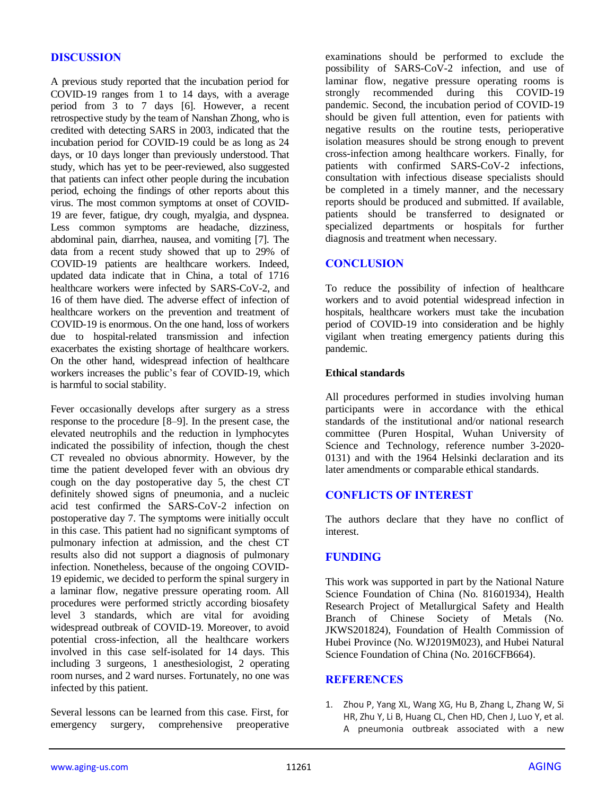#### **DISCUSSION**

A previous study reported that the incubation period for COVID-19 ranges from 1 to 14 days, with a average period from 3 to 7 days [6]. However, a recent retrospective study by the team of Nanshan Zhong, who is credited with detecting SARS in 2003, indicated that the incubation period for COVID-19 could be as long as 24 days, or 10 days longer than previously understood. That study, which has yet to be peer-reviewed, also suggested that patients can infect other people during the incubation period, echoing the findings of other reports about this virus. The most common symptoms at onset of COVID-19 are fever, fatigue, dry cough, myalgia, and dyspnea. Less common symptoms are headache, dizziness, abdominal pain, diarrhea, nausea, and vomiting [7]. The data from a recent study showed that up to 29% of COVID-19 patients are healthcare workers. Indeed, updated data indicate that in China, a total of 1716 healthcare workers were infected by SARS-CoV-2, and 16 of them have died. The adverse effect of infection of healthcare workers on the prevention and treatment of COVID-19 is enormous. On the one hand, loss of workers due to hospital-related transmission and infection exacerbates the existing shortage of healthcare workers. On the other hand, widespread infection of healthcare workers increases the public's fear of COVID-19, which is harmful to social stability.

Fever occasionally develops after surgery as a stress response to the procedure [8–9]. In the present case, the elevated neutrophils and the reduction in lymphocytes indicated the possibility of infection, though the chest CT revealed no obvious abnormity. However, by the time the patient developed fever with an obvious dry cough on the day postoperative day 5, the chest CT definitely showed signs of pneumonia, and a nucleic acid test confirmed the SARS-CoV-2 infection on postoperative day 7. The symptoms were initially occult in this case. This patient had no significant symptoms of pulmonary infection at admission, and the chest CT results also did not support a diagnosis of pulmonary infection. Nonetheless, because of the ongoing COVID-19 epidemic, we decided to perform the spinal surgery in a laminar flow, negative pressure operating room. All procedures were performed strictly according biosafety level 3 standards, which are vital for avoiding widespread outbreak of COVID-19. Moreover, to avoid potential cross-infection, all the healthcare workers involved in this case self-isolated for 14 days. This including 3 surgeons, 1 anesthesiologist, 2 operating room nurses, and 2 ward nurses. Fortunately, no one was infected by this patient.

Several lessons can be learned from this case. First, for emergency surgery, comprehensive preoperative examinations should be performed to exclude the possibility of SARS-CoV-2 infection, and use of laminar flow, negative pressure operating rooms is strongly recommended during this COVID-19 pandemic. Second, the incubation period of COVID-19 should be given full attention, even for patients with negative results on the routine tests, perioperative isolation measures should be strong enough to prevent cross-infection among healthcare workers. Finally, for patients with confirmed SARS-CoV-2 infections, consultation with infectious disease specialists should be completed in a timely manner, and the necessary reports should be produced and submitted. If available, patients should be transferred to designated or specialized departments or hospitals for further diagnosis and treatment when necessary.

#### **CONCLUSION**

To reduce the possibility of infection of healthcare workers and to avoid potential widespread infection in hospitals, healthcare workers must take the incubation period of COVID-19 into consideration and be highly vigilant when treating emergency patients during this pandemic.

#### **Ethical standards**

All procedures performed in studies involving human participants were in accordance with the ethical standards of the institutional and/or national research committee (Puren Hospital, Wuhan University of Science and Technology, reference number 3-2020- 0131) and with the 1964 Helsinki declaration and its later amendments or comparable ethical standards.

## **CONFLICTS OF INTEREST**

The authors declare that they have no conflict of interest.

## **FUNDING**

This work was supported in part by the National Nature Science Foundation of China (No. 81601934), Health Research Project of Metallurgical Safety and Health Branch of Chinese Society of Metals (No. JKWS201824), Foundation of Health Commission of Hubei Province (No. WJ2019M023), and Hubei Natural Science Foundation of China (No. 2016CFB664).

#### **REFERENCES**

1. Zhou P, Yang XL, Wang XG, Hu B, Zhang L, Zhang W, Si HR, Zhu Y, Li B, Huang CL, Chen HD, Chen J, Luo Y, et al. A pneumonia outbreak associated with a new